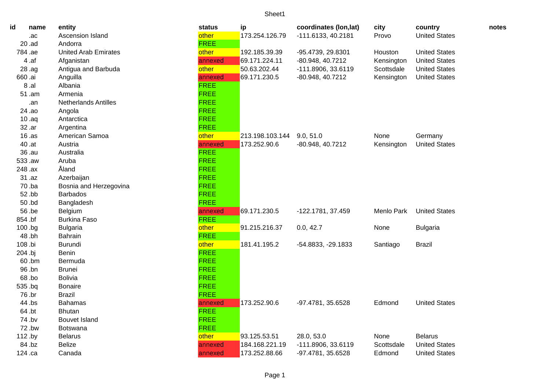| id      | name  | entity                      | status      | ip              | coordinates (lon, lat) | city       | country              | notes |
|---------|-------|-----------------------------|-------------|-----------------|------------------------|------------|----------------------|-------|
|         | .ac   | Ascension Island            | other       | 173.254.126.79  | $-111.6133, 40.2181$   | Provo      | <b>United States</b> |       |
|         | 20.ad | Andorra                     | <b>FREE</b> |                 |                        |            |                      |       |
| 784.ae  |       | <b>United Arab Emirates</b> | other       | 192.185.39.39   | -95.4739, 29.8301      | Houston    | <b>United States</b> |       |
|         | 4.af  | Afganistan                  | annexed     | 69.171.224.11   | -80.948, 40.7212       | Kensington | <b>United States</b> |       |
|         | 28.ag | Antigua and Barbuda         | other       | 50.63.202.44    | -111.8906, 33.6119     | Scottsdale | <b>United States</b> |       |
| 660 .ai |       | Anguilla                    | annexed     | 69.171.230.5    | -80.948, 40.7212       | Kensington | <b>United States</b> |       |
|         | 8.al  | Albania                     | <b>FREE</b> |                 |                        |            |                      |       |
|         | 51.am | Armenia                     | <b>FREE</b> |                 |                        |            |                      |       |
|         | .an   | <b>Netherlands Antilles</b> | <b>FREE</b> |                 |                        |            |                      |       |
|         | 24.ao | Angola                      | <b>FREE</b> |                 |                        |            |                      |       |
|         | 10.aq | Antarctica                  | <b>FREE</b> |                 |                        |            |                      |       |
|         | 32.ar | Argentina                   | <b>FREE</b> |                 |                        |            |                      |       |
|         | 16.as | American Samoa              | other       | 213.198.103.144 | 9.0, 51.0              | None       | Germany              |       |
|         | 40.at | Austria                     | annexed     | 173.252.90.6    | -80.948, 40.7212       | Kensington | <b>United States</b> |       |
|         | 36.au | Australia                   | <b>FREE</b> |                 |                        |            |                      |       |
| 533.aw  |       | Aruba                       | <b>FREE</b> |                 |                        |            |                      |       |
| 248.ax  |       | Åland                       | <b>FREE</b> |                 |                        |            |                      |       |
|         | 31.az | Azerbaijan                  | <b>FREE</b> |                 |                        |            |                      |       |
|         | 70.ba | Bosnia and Herzegovina      | <b>FREE</b> |                 |                        |            |                      |       |
|         | 52.bb | <b>Barbados</b>             | <b>FREE</b> |                 |                        |            |                      |       |
|         | 50.bd | Bangladesh                  | <b>FREE</b> |                 |                        |            |                      |       |
|         | 56.be | Belgium                     | annexed     | 69.171.230.5    | -122.1781, 37.459      | Menlo Park | <b>United States</b> |       |
| 854.bf  |       | <b>Burkina Faso</b>         | <b>FREE</b> |                 |                        |            |                      |       |
| 100.bg  |       | <b>Bulgaria</b>             | other       | 91.215.216.37   | 0.0, 42.7              | None       | <b>Bulgaria</b>      |       |
|         | 48.bh | <b>Bahrain</b>              | <b>FREE</b> |                 |                        |            |                      |       |
| 108.bi  |       | Burundi                     | other       | 181.41.195.2    | -54.8833, -29.1833     | Santiago   | <b>Brazil</b>        |       |
| 204 bj  |       | <b>Benin</b>                | <b>FREE</b> |                 |                        |            |                      |       |
|         | 60.bm | Bermuda                     | <b>FREE</b> |                 |                        |            |                      |       |
|         | 96.bn | <b>Brunei</b>               | <b>FREE</b> |                 |                        |            |                      |       |
|         | 68.bo | <b>Bolivia</b>              | <b>FREE</b> |                 |                        |            |                      |       |
| 535.bq  |       | <b>Bonaire</b>              | <b>FREE</b> |                 |                        |            |                      |       |
| 76.br   |       | <b>Brazil</b>               | <b>FREE</b> |                 |                        |            |                      |       |
|         | 44.bs | <b>Bahamas</b>              | annexed     | 173.252.90.6    | -97.4781, 35.6528      | Edmond     | <b>United States</b> |       |
|         | 64.bt | <b>Bhutan</b>               | <b>FREE</b> |                 |                        |            |                      |       |
|         | 74.bv | <b>Bouvet Island</b>        | <b>FREE</b> |                 |                        |            |                      |       |
|         | 72.bw | Botswana                    | <b>FREE</b> |                 |                        |            |                      |       |
| 112.by  |       | <b>Belarus</b>              | other       | 93.125.53.51    | 28.0, 53.0             | None       | <b>Belarus</b>       |       |
|         | 84.bz | <b>Belize</b>               | annexed     | 184.168.221.19  | -111.8906, 33.6119     | Scottsdale | <b>United States</b> |       |
| 124.ca  |       | Canada                      | annexed     | 173.252.88.66   | -97.4781, 35.6528      | Edmond     | <b>United States</b> |       |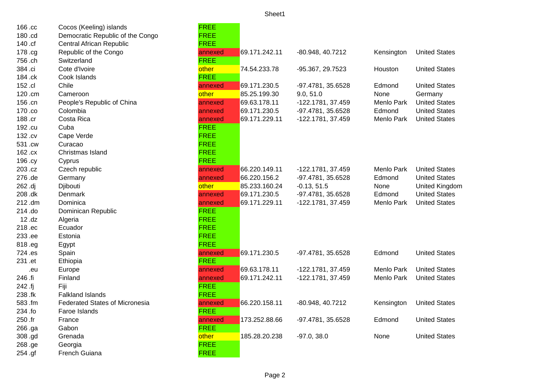| 166.cc  | Cocos (Keeling) islands               | <b>FREE</b> |               |                   |            |                      |
|---------|---------------------------------------|-------------|---------------|-------------------|------------|----------------------|
| 180.cd  | Democratic Republic of the Congo      | <b>FREE</b> |               |                   |            |                      |
| 140.cf  | Central African Republic              | <b>FREE</b> |               |                   |            |                      |
| 178.cg  | Republic of the Congo                 | annexed     | 69.171.242.11 | -80.948, 40.7212  | Kensington | <b>United States</b> |
| 756.ch  | Switzerland                           | <b>FREE</b> |               |                   |            |                      |
| 384.ci  | Cote d'Ivoire                         | other       | 74.54.233.78  | -95.367, 29.7523  | Houston    | <b>United States</b> |
| 184.ck  | Cook Islands                          | <b>FREE</b> |               |                   |            |                      |
| 152.cl  | Chile                                 | annexed     | 69.171.230.5  | -97.4781, 35.6528 | Edmond     | <b>United States</b> |
| 120.cm  | Cameroon                              | other       | 85.25.199.30  | 9.0, 51.0         | None       | Germany              |
| 156.cn  | People's Republic of China            | annexed     | 69.63.178.11  | -122.1781, 37.459 | Menlo Park | <b>United States</b> |
| 170.co  | Colombia                              | annexed     | 69.171.230.5  | -97.4781, 35.6528 | Edmond     | <b>United States</b> |
| 188.cr  | Costa Rica                            | annexed     | 69.171.229.11 | -122.1781, 37.459 | Menlo Park | <b>United States</b> |
| 192.cu  | Cuba                                  | <b>FREE</b> |               |                   |            |                      |
| 132.cv  | Cape Verde                            | <b>FREE</b> |               |                   |            |                      |
| 531.cw  | Curacao                               | <b>FREE</b> |               |                   |            |                      |
| 162.cx  | Christmas Island                      | <b>FREE</b> |               |                   |            |                      |
| 196.cy  | Cyprus                                | <b>FREE</b> |               |                   |            |                      |
| 203.cz  | Czech republic                        | annexed     | 66.220.149.11 | -122.1781, 37.459 | Menlo Park | <b>United States</b> |
| 276.de  | Germany                               | annexed     | 66.220.156.2  | -97.4781, 35.6528 | Edmond     | <b>United States</b> |
| 262.dj  | Djibouti                              | other       | 85.233.160.24 | $-0.13, 51.5$     | None       | United Kingdom       |
| 208.dk  | <b>Denmark</b>                        | annexed     | 69.171.230.5  | -97.4781, 35.6528 | Edmond     | <b>United States</b> |
| 212.dm  | Dominica                              | annexed     | 69.171.229.11 | -122.1781, 37.459 | Menlo Park | <b>United States</b> |
| 214.do  | Dominican Republic                    | <b>FREE</b> |               |                   |            |                      |
| 12.dz   | Algeria                               | <b>FREE</b> |               |                   |            |                      |
| 218.ec  | Ecuador                               | <b>FREE</b> |               |                   |            |                      |
| 233.ee  | Estonia                               | <b>FREE</b> |               |                   |            |                      |
| 818.eg  | Egypt                                 | <b>FREE</b> |               |                   |            |                      |
| 724.es  | Spain                                 | annexed     | 69.171.230.5  | -97.4781, 35.6528 | Edmond     | <b>United States</b> |
| 231 .et | Ethiopia                              | <b>FREE</b> |               |                   |            |                      |
| .eu     | Europe                                | annexed     | 69.63.178.11  | -122.1781, 37.459 | Menlo Park | <b>United States</b> |
| 246 .fi | Finland                               | annexed     | 69.171.242.11 | -122.1781, 37.459 | Menlo Park | <b>United States</b> |
| 242 .fj | Fiji                                  | <b>FREE</b> |               |                   |            |                      |
| 238.fk  | <b>Falkland Islands</b>               | <b>FREE</b> |               |                   |            |                      |
| 583.fm  | <b>Federated States of Micronesia</b> | annexed     | 66.220.158.11 | -80.948, 40.7212  | Kensington | <b>United States</b> |
| 234.fo  | Faroe Islands                         | <b>FREE</b> |               |                   |            |                      |
| 250.fr  | France                                | annexed     | 173.252.88.66 | -97.4781, 35.6528 | Edmond     | <b>United States</b> |
| 266.ga  | Gabon                                 | <b>FREE</b> |               |                   |            |                      |
| 308.gd  | Grenada                               | other       | 185.28.20.238 | $-97.0, 38.0$     | None       | <b>United States</b> |
| 268.ge  | Georgia                               | <b>FREE</b> |               |                   |            |                      |
| 254.gf  | French Guiana                         | <b>FREE</b> |               |                   |            |                      |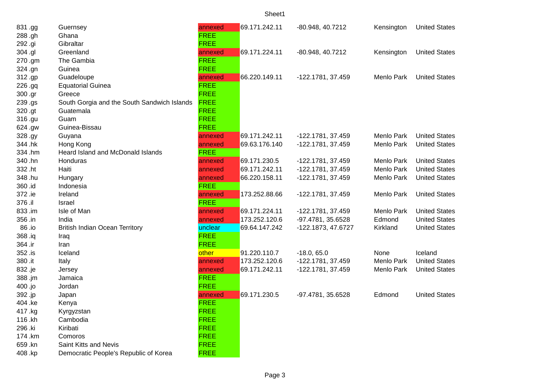| 831.gg  | Guernsey                                    | annexed     | 69.171.242.11 | -80.948, 40.7212   | Kensington        | <b>United States</b> |
|---------|---------------------------------------------|-------------|---------------|--------------------|-------------------|----------------------|
| 288.gh  | Ghana                                       | <b>FREE</b> |               |                    |                   |                      |
| 292.gi  | Gibraltar                                   | <b>FREE</b> |               |                    |                   |                      |
| 304.gl  | Greenland                                   | annexed     | 69.171.224.11 | -80.948, 40.7212   | Kensington        | <b>United States</b> |
| 270.gm  | The Gambia                                  | <b>FREE</b> |               |                    |                   |                      |
| 324.gn  | Guinea                                      | <b>FREE</b> |               |                    |                   |                      |
| 312.gp  | Guadeloupe                                  | annexed     | 66.220.149.11 | -122.1781, 37.459  | <b>Menlo Park</b> | <b>United States</b> |
| 226.gq  | <b>Equatorial Guinea</b>                    | <b>FREE</b> |               |                    |                   |                      |
| 300.gr  | Greece                                      | <b>FREE</b> |               |                    |                   |                      |
| 239.gs  | South Gorgia and the South Sandwich Islands | <b>FREE</b> |               |                    |                   |                      |
| 320.gt  | Guatemala                                   | <b>FREE</b> |               |                    |                   |                      |
| 316.gu  | Guam                                        | <b>FREE</b> |               |                    |                   |                      |
| 624.gw  | Guinea-Bissau                               | <b>FREE</b> |               |                    |                   |                      |
| 328.gy  | Guyana                                      | annexed     | 69.171.242.11 | -122.1781, 37.459  | Menlo Park        | <b>United States</b> |
| 344.hk  | Hong Kong                                   | annexed     | 69.63.176.140 | -122.1781, 37.459  | Menlo Park        | <b>United States</b> |
| 334.hm  | Heard Island and McDonald Islands           | <b>FREE</b> |               |                    |                   |                      |
| 340.hn  | Honduras                                    | annexed     | 69.171.230.5  | -122.1781, 37.459  | Menlo Park        | <b>United States</b> |
| 332.ht  | Haiti                                       | annexed     | 69.171.242.11 | -122.1781, 37.459  | Menlo Park        | <b>United States</b> |
| 348.hu  | Hungary                                     | annexed     | 66.220.158.11 | -122.1781, 37.459  | Menlo Park        | <b>United States</b> |
| 360.id  | Indonesia                                   | <b>FREE</b> |               |                    |                   |                      |
| 372.ie  | Ireland                                     | annexed     | 173.252.88.66 | -122.1781, 37.459  | Menlo Park        | <b>United States</b> |
| 376.il  | Israel                                      | <b>FREE</b> |               |                    |                   |                      |
| 833.im  | Isle of Man                                 | annexed     | 69.171.224.11 | -122.1781, 37.459  | Menlo Park        | <b>United States</b> |
| 356.in  | India                                       | annexed     | 173.252.120.6 | -97.4781, 35.6528  | Edmond            | <b>United States</b> |
| 86.io   | British Indian Ocean Territory              | unclear     | 69.64.147.242 | -122.1873, 47.6727 | Kirkland          | <b>United States</b> |
| 368.iq  | Iraq                                        | <b>FREE</b> |               |                    |                   |                      |
| 364.ir  | Iran                                        | <b>FREE</b> |               |                    |                   |                      |
| 352.is  | Iceland                                     | other       | 91.220.110.7  | $-18.0, 65.0$      | None              | Iceland              |
| 380.it  | Italy                                       | annexed     | 173.252.120.6 | -122.1781, 37.459  | Menlo Park        | <b>United States</b> |
| 832.je  | Jersey                                      | annexed     | 69.171.242.11 | -122.1781, 37.459  | Menlo Park        | <b>United States</b> |
| 388.jm  | Jamaica                                     | <b>FREE</b> |               |                    |                   |                      |
| 400.jo  | Jordan                                      | <b>FREE</b> |               |                    |                   |                      |
| 392.jp  | Japan                                       | annexed     | 69.171.230.5  | -97.4781, 35.6528  | Edmond            | <b>United States</b> |
| 404.ke  | Kenya                                       | <b>FREE</b> |               |                    |                   |                      |
| 417 .kg | Kyrgyzstan                                  | <b>FREE</b> |               |                    |                   |                      |
| 116.kh  | Cambodia                                    | <b>FREE</b> |               |                    |                   |                      |
| 296.ki  | Kiribati                                    | <b>FREE</b> |               |                    |                   |                      |
| 174.km  | Comoros                                     | <b>FREE</b> |               |                    |                   |                      |
| 659.kn  | Saint Kitts and Nevis                       | <b>FREE</b> |               |                    |                   |                      |
| 408.kp  | Democratic People's Republic of Korea       | <b>FREE</b> |               |                    |                   |                      |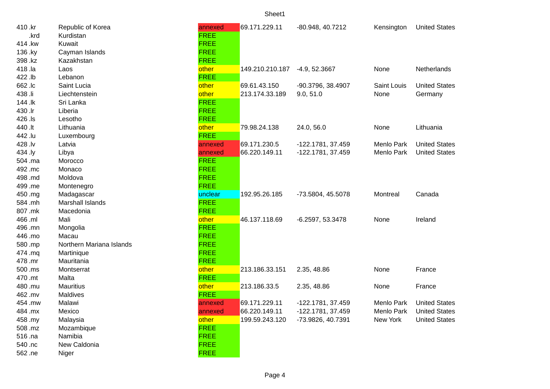| 410.kr  | Republic of Korea        | annexed     | 69.171.229.11   | -80.948, 40.7212  | Kensington  | <b>United States</b> |
|---------|--------------------------|-------------|-----------------|-------------------|-------------|----------------------|
| .krd    | Kurdistan                | <b>FREE</b> |                 |                   |             |                      |
| 414.kw  | Kuwait                   | <b>FREE</b> |                 |                   |             |                      |
| 136.ky  | Cayman Islands           | <b>FREE</b> |                 |                   |             |                      |
| 398.kz  | Kazakhstan               | <b>FREE</b> |                 |                   |             |                      |
| 418 .la | Laos                     | other       | 149.210.210.187 | $-4.9, 52.3667$   | None        | Netherlands          |
| 422.lb  | Lebanon                  | <b>FREE</b> |                 |                   |             |                      |
| 662.lc  | Saint Lucia              | other       | 69.61.43.150    | -90.3796, 38.4907 | Saint Louis | <b>United States</b> |
| 438.li  | Liechtenstein            | other       | 213.174.33.189  | 9.0, 51.0         | None        | Germany              |
| 144.lk  | Sri Lanka                | <b>FREE</b> |                 |                   |             |                      |
| 430.lr  | Liberia                  | <b>FREE</b> |                 |                   |             |                      |
| 426.ls  | Lesotho                  | <b>FREE</b> |                 |                   |             |                      |
| 440 .lt | Lithuania                | other       | 79.98.24.138    | 24.0, 56.0        | None        | Lithuania            |
| 442.lu  | Luxembourg               | <b>FREE</b> |                 |                   |             |                      |
| 428.lv  | Latvia                   | annexed     | 69.171.230.5    | -122.1781, 37.459 | Menlo Park  | <b>United States</b> |
| 434 .ly | Libya                    | annexed     | 66.220.149.11   | -122.1781, 37.459 | Menlo Park  | <b>United States</b> |
| 504.ma  | Morocco                  | <b>FREE</b> |                 |                   |             |                      |
| 492.mc  | Monaco                   | <b>FREE</b> |                 |                   |             |                      |
| 498.md  | Moldova                  | <b>FREE</b> |                 |                   |             |                      |
| 499.me  | Montenegro               | <b>FREE</b> |                 |                   |             |                      |
| 450.mg  | Madagascar               | unclear     | 192.95.26.185   | -73.5804, 45.5078 | Montreal    | Canada               |
| 584.mh  | Marshall Islands         | <b>FREE</b> |                 |                   |             |                      |
| 807.mk  | Macedonia                | <b>FREE</b> |                 |                   |             |                      |
| 466 .ml | Mali                     | other       | 46.137.118.69   | -6.2597, 53.3478  | None        | Ireland              |
| 496.mn  | Mongolia                 | <b>FREE</b> |                 |                   |             |                      |
| 446.mo  | Macau                    | <b>FREE</b> |                 |                   |             |                      |
| 580.mp  | Northern Mariana Islands | <b>FREE</b> |                 |                   |             |                      |
| 474.mq  | Martinique               | <b>FREE</b> |                 |                   |             |                      |
| 478 .mr | Mauritania               | <b>FREE</b> |                 |                   |             |                      |
| 500 .ms | Montserrat               | other       | 213.186.33.151  | 2.35, 48.86       | None        | France               |
| 470 .mt | Malta                    | <b>FREE</b> |                 |                   |             |                      |
| 480.mu  | <b>Mauritius</b>         | other       | 213.186.33.5    | 2.35, 48.86       | None        | France               |
| 462.mv  | Maldives                 | <b>FREE</b> |                 |                   |             |                      |
| 454.mw  | Malawi                   | annexed     | 69.171.229.11   | -122.1781, 37.459 | Menlo Park  | <b>United States</b> |
| 484.mx  | Mexico                   | annexed     | 66.220.149.11   | -122.1781, 37.459 | Menlo Park  | <b>United States</b> |
| 458.my  | Malaysia                 | other       | 199.59.243.120  | -73.9826, 40.7391 | New York    | <b>United States</b> |
| 508.mz  | Mozambique               | <b>FREE</b> |                 |                   |             |                      |
| 516 .na | Namibia                  | <b>FREE</b> |                 |                   |             |                      |
| 540.nc  | New Caldonia             | <b>FREE</b> |                 |                   |             |                      |
| 562.ne  | Niger                    | <b>FREE</b> |                 |                   |             |                      |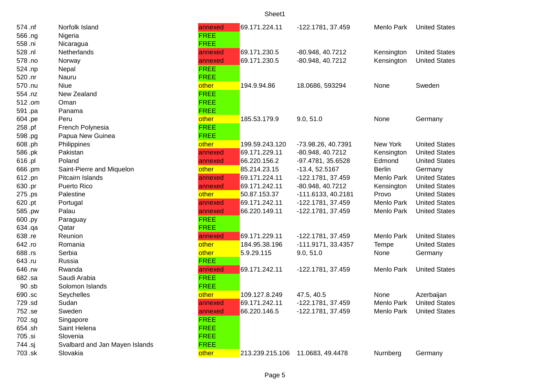| 574.nf  | Norfolk Island                 | annexed     | 69.171.224.11  | -122.1781, 37.459                | Menlo Park    | <b>United States</b> |
|---------|--------------------------------|-------------|----------------|----------------------------------|---------------|----------------------|
| 566.ng  | Nigeria                        | <b>FREE</b> |                |                                  |               |                      |
| 558 .ni | Nicaragua                      | <b>FREE</b> |                |                                  |               |                      |
| 528 .nl | Netherlands                    | annexed     | 69.171.230.5   | -80.948, 40.7212                 | Kensington    | <b>United States</b> |
| 578.no  | Norway                         | annexed     | 69.171.230.5   | -80.948, 40.7212                 | Kensington    | <b>United States</b> |
| 524.np  | Nepal                          | <b>FREE</b> |                |                                  |               |                      |
| 520 .nr | Nauru                          | <b>FREE</b> |                |                                  |               |                      |
| 570.nu  | <b>Niue</b>                    | other       | 194.9.94.86    | 18.0686, 593294                  | None          | Sweden               |
| 554.nz  | New Zealand                    | <b>FREE</b> |                |                                  |               |                      |
| 512.om  | Oman                           | <b>FREE</b> |                |                                  |               |                      |
| 591.pa  | Panama                         | <b>FREE</b> |                |                                  |               |                      |
| 604.pe  | Peru                           | other       | 185.53.179.9   | 9.0, 51.0                        | None          | Germany              |
| 258.pf  | French Polynesia               | <b>FREE</b> |                |                                  |               |                      |
| 598.pg  | Papua New Guinea               | <b>FREE</b> |                |                                  |               |                      |
| 608.ph  | Philippines                    | other       | 199.59.243.120 | -73.98.26, 40.7391               | New York      | <b>United States</b> |
| 586.pk  | Pakistan                       | annexed     | 69.171.229.11  | -80.948, 40.7212                 | Kensington    | <b>United States</b> |
| 616.pl  | Poland                         | annexed     | 66.220.156.2   | -97.4781, 35.6528                | Edmond        | <b>United States</b> |
| 666.pm  | Saint-Pierre and Miquelon      | other       | 85.214.23.15   | $-13.4, 52.5167$                 | <b>Berlin</b> | Germany              |
| 612.pn  | Pitcairn Islands               | annexed     | 69.171.224.11  | -122.1781, 37.459                | Menlo Park    | <b>United States</b> |
| 630.pr  | Puerto Rico                    | annexed     | 69.171.242.11  | -80.948, 40.7212                 | Kensington    | <b>United States</b> |
| 275.ps  | Palestine                      | other       | 50.87.153.37   | $-111.6133, 40.2181$             | Provo         | <b>United States</b> |
| 620.pt  | Portugal                       | annexed     | 69.171.242.11  | -122.1781, 37.459                | Menlo Park    | <b>United States</b> |
| 585.pw  | Palau                          | annexed     | 66.220.149.11  | -122.1781, 37.459                | Menlo Park    | <b>United States</b> |
| 600.py  | Paraguay                       | <b>FREE</b> |                |                                  |               |                      |
| 634.qa  | Qatar                          | <b>FREE</b> |                |                                  |               |                      |
| 638.re  | Reunion                        | annexed     | 69.171.229.11  | -122.1781, 37.459                | Menlo Park    | <b>United States</b> |
| 642.ro  | Romania                        | other       | 184.95.38.196  | -111.9171, 33.4357               | Tempe         | <b>United States</b> |
| 688.rs  | Serbia                         | other       | 5.9.29.115     | 9.0, 51.0                        | None          | Germany              |
| 643.ru  | Russia                         | <b>FREE</b> |                |                                  |               |                      |
| 646.rw  | Rwanda                         | annexed     | 69.171.242.11  | -122.1781, 37.459                | Menlo Park    | <b>United States</b> |
| 682.sa  | Saudi Arabia                   | <b>FREE</b> |                |                                  |               |                      |
| 90.sb   | Solomon Islands                | <b>FREE</b> |                |                                  |               |                      |
| 690.sc  | Seychelles                     | other       | 109.127.8.249  | 47.5, 40.5                       | None          | Azerbaijan           |
| 729.sd  | Sudan                          | annexed     | 69.171.242.11  | -122.1781, 37.459                | Menlo Park    | <b>United States</b> |
| 752.se  | Sweden                         | annexed     | 66.220.146.5   | -122.1781, 37.459                | Menlo Park    | United States        |
| 702.sg  | Singapore                      | <b>FREE</b> |                |                                  |               |                      |
| 654.sh  | Saint Helena                   | <b>FREE</b> |                |                                  |               |                      |
| 705.si  | Slovenia                       | <b>FREE</b> |                |                                  |               |                      |
| 744 .sj | Svalbard and Jan Mayen Islands | <b>FREE</b> |                |                                  |               |                      |
| 703.sk  | Slovakia                       | other       |                | 213.239.215.106 11.0683, 49.4478 | Nurnberg      | Germany              |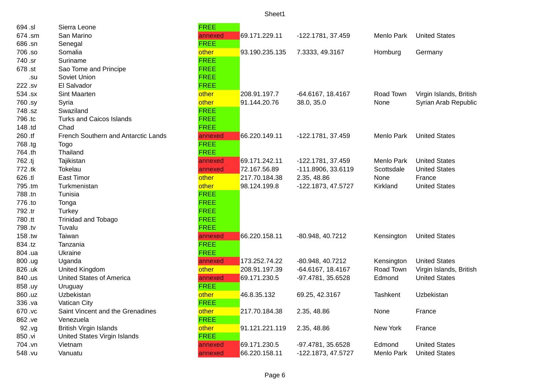| 694.sl  | Sierra Leone                        | <b>FREE</b> |                |                    |            |                         |
|---------|-------------------------------------|-------------|----------------|--------------------|------------|-------------------------|
| 674.sm  | San Marino                          | annexed     | 69.171.229.11  | -122.1781, 37.459  | Menlo Park | <b>United States</b>    |
| 686.sn  | Senegal                             | <b>FREE</b> |                |                    |            |                         |
| 706.so  | Somalia                             | other       | 93.190.235.135 | 7.3333, 49.3167    | Homburg    | Germany                 |
| 740.sr  | Suriname                            | <b>FREE</b> |                |                    |            |                         |
| 678.st  | Sao Tome and Principe               | <b>FREE</b> |                |                    |            |                         |
| .su     | Soviet Union                        | <b>FREE</b> |                |                    |            |                         |
| 222.sv  | El Salvador                         | <b>FREE</b> |                |                    |            |                         |
| 534.sx  | Sint Maarten                        | other       | 208.91.197.7   | -64.6167, 18.4167  | Road Town  | Virgin Islands, British |
| 760.sy  | Syria                               | other       | 91.144.20.76   | 38.0, 35.0         | None       | Syrian Arab Republic    |
| 748.sz  | Swaziland                           | <b>FREE</b> |                |                    |            |                         |
| 796.tc  | <b>Turks and Caicos Islands</b>     | <b>FREE</b> |                |                    |            |                         |
| 148 .td | Chad                                | <b>FREE</b> |                |                    |            |                         |
| 260.tf  | French Southern and Antarctic Lands | annexed     | 66.220.149.11  | -122.1781, 37.459  | Menlo Park | <b>United States</b>    |
| 768.tg  | <b>Togo</b>                         | <b>FREE</b> |                |                    |            |                         |
| 764.th  | Thailand                            | <b>FREE</b> |                |                    |            |                         |
| 762.tj  | Tajikistan                          | annexed     | 69.171.242.11  | -122.1781, 37.459  | Menlo Park | <b>United States</b>    |
| 772.tk  | Tokelau                             | annexed     | 72.167.56.89   | -111.8906, 33.6119 | Scottsdale | <b>United States</b>    |
| 626.tl  | <b>East Timor</b>                   | other       | 217.70.184.38  | 2.35, 48.86        | None       | France                  |
| 795.tm  | Turkmenistan                        | other       | 98.124.199.8   | -122.1873, 47.5727 | Kirkland   | <b>United States</b>    |
| 788.tn  | Tunisia                             | <b>FREE</b> |                |                    |            |                         |
| 776.to  | Tonga                               | <b>FREE</b> |                |                    |            |                         |
| 792.tr  | Turkey                              | <b>FREE</b> |                |                    |            |                         |
| 780.tt  | Trinidad and Tobago                 | <b>FREE</b> |                |                    |            |                         |
| 798.tv  | Tuvalu                              | <b>FREE</b> |                |                    |            |                         |
| 158.tw  | Taiwan                              | annexed     | 66.220.158.11  | -80.948, 40.7212   | Kensington | <b>United States</b>    |
| 834.tz  | Tanzania                            | <b>FREE</b> |                |                    |            |                         |
| 804.ua  | Ukraine                             | <b>FREE</b> |                |                    |            |                         |
| 800.ug  | Uganda                              | annexed     | 173.252.74.22  | -80.948, 40.7212   | Kensington | <b>United States</b>    |
| 826.uk  | United Kingdom                      | other       | 208.91.197.39  | -64.6167, 18.4167  | Road Town  | Virgin Islands, British |
| 840.us  | <b>United States of America</b>     | annexed     | 69.171.230.5   | -97.4781, 35.6528  | Edmond     | <b>United States</b>    |
| 858.uy  | Uruguay                             | <b>FREE</b> |                |                    |            |                         |
| 860.uz  | Uzbekistan                          | other       | 46.8.35.132    | 69.25, 42.3167     | Tashkent   | Uzbekistan              |
| 336.va  | <b>Vatican City</b>                 | <b>FREE</b> |                |                    |            |                         |
| 670.vc  | Saint Vincent and the Grenadines    | other       | 217.70.184.38  | 2.35, 48.86        | None       | France                  |
| 862.ve  | Venezuela                           | <b>FREE</b> |                |                    |            |                         |
| 92.yg   | <b>British Virgin Islands</b>       | other       | 91.121.221.119 | 2.35, 48.86        | New York   | France                  |
| 850 .vi | United States Virgin Islands        | <b>FREE</b> |                |                    |            |                         |
| 704.vn  | Vietnam                             | annexed     | 69.171.230.5   | -97.4781, 35.6528  | Edmond     | <b>United States</b>    |
| 548.vu  | Vanuatu                             | annexed     | 66.220.158.11  | -122.1873, 47.5727 | Menlo Park | <b>United States</b>    |